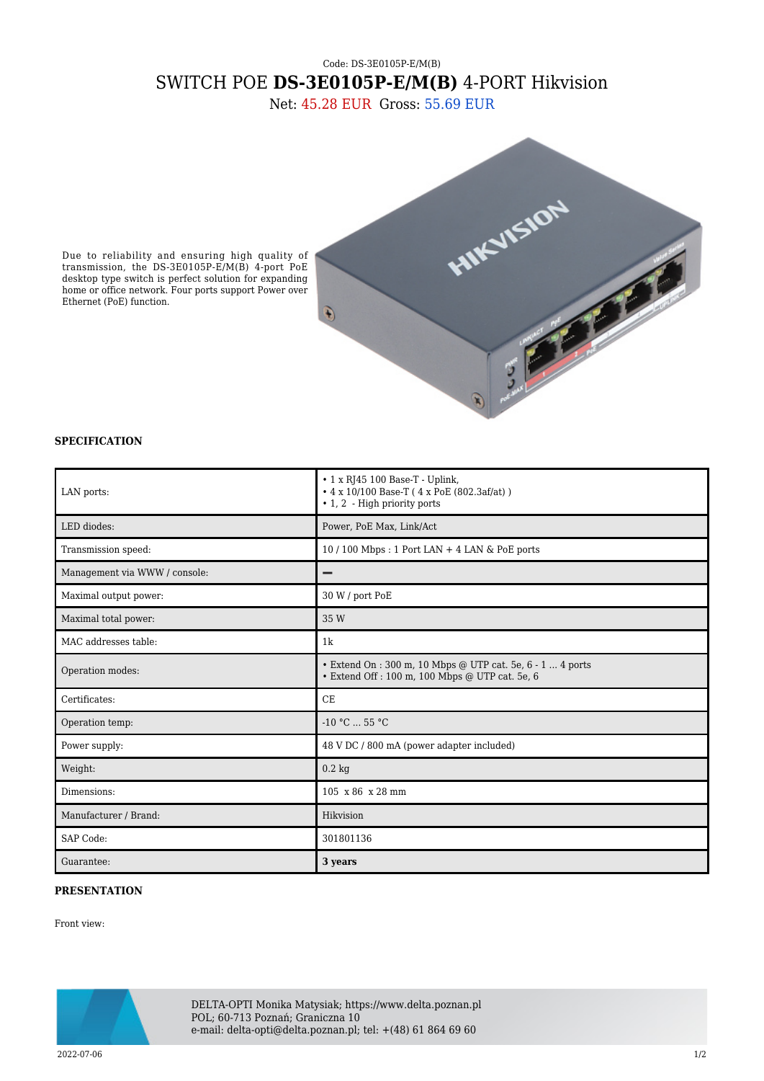## Code: DS-3E0105P-E/M(B) SWITCH POE **DS-3E0105P-E/M(B)** 4-PORT Hikvision

Net: 45.28 EUR Gross: 55.69 EUR



Due to reliability and ensuring high quality of transmission, the DS-3E0105P-E/M(B) 4-port PoE desktop type switch is perfect solution for expanding home or office network. Four ports support Power over Ethernet (PoE) function.

## **SPECIFICATION**

| LAN ports:                    | $\cdot$ 1 x RJ45 100 Base-T - Uplink,<br>$\cdot$ 4 x 10/100 Base-T (4 x PoE (802.3af/at))<br>$\cdot$ 1, 2 - High priority ports |
|-------------------------------|---------------------------------------------------------------------------------------------------------------------------------|
| LED diodes:                   | Power, PoE Max, Link/Act                                                                                                        |
| Transmission speed:           | $10/100$ Mbps: 1 Port LAN + 4 LAN & PoE ports                                                                                   |
| Management via WWW / console: |                                                                                                                                 |
| Maximal output power:         | 30 W / port PoE                                                                                                                 |
| Maximal total power:          | 35 W                                                                                                                            |
| MAC addresses table:          | 1 <sub>k</sub>                                                                                                                  |
| Operation modes:              | • Extend On : 300 m, 10 Mbps @ UTP cat. 5e, 6 - 1  4 ports<br>· Extend Off : 100 m, 100 Mbps @ UTP cat. 5e, 6                   |
| Certificates:                 | CE                                                                                                                              |
| Operation temp:               | $-10 °C$ 55 °C                                                                                                                  |
| Power supply:                 | 48 V DC / 800 mA (power adapter included)                                                                                       |
| Weight:                       | $0.2 \text{ kg}$                                                                                                                |
| Dimensions:                   | 105 x 86 x 28 mm                                                                                                                |
| Manufacturer / Brand:         | Hikvision                                                                                                                       |
| SAP Code:                     | 301801136                                                                                                                       |
| Guarantee:                    | 3 years                                                                                                                         |

## **PRESENTATION**

Front view:



DELTA-OPTI Monika Matysiak; https://www.delta.poznan.pl POL; 60-713 Poznań; Graniczna 10 e-mail: delta-opti@delta.poznan.pl; tel: +(48) 61 864 69 60